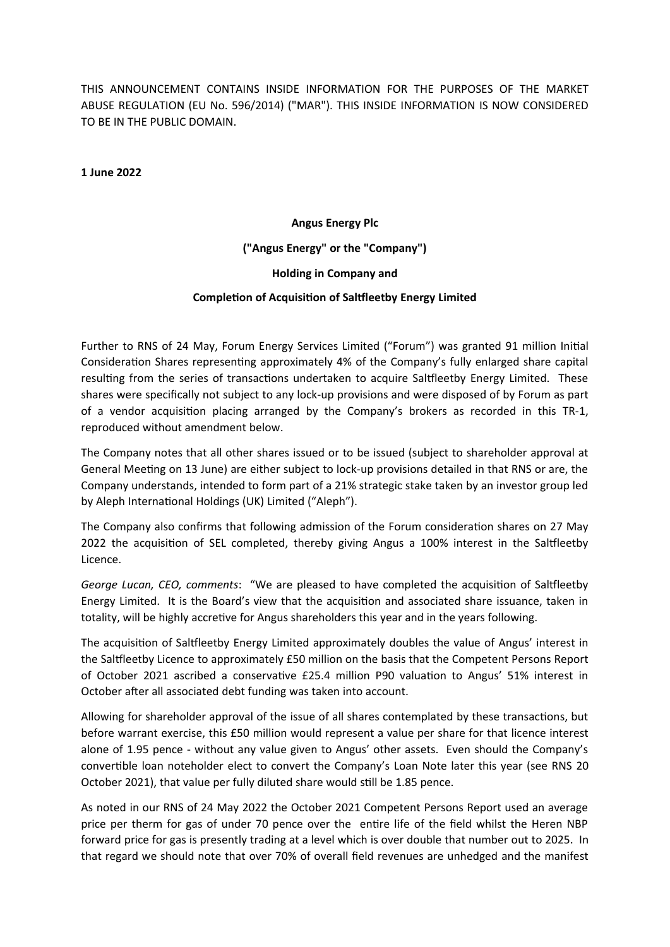THIS ANNOUNCEMENT CONTAINS INSIDE INFORMATION FOR THE PURPOSES OF THE MARKET ABUSE REGULATION (EU No. 596/2014) ("MAR"). THIS INSIDE INFORMATION IS NOW CONSIDERED TO BE IN THE PUBLIC DOMAIN.

**1 June 2022**

#### **Angus Energy Plc**

**("Angus Energy" or the "Company")**

#### **Holding in Company and**

#### **CompleƟon of AcquisiƟon of Salƞleetby Energy Limited**

Further to RNS of 24 May, Forum Energy Services Limited ("Forum") was granted 91 million Initial Consideration Shares representing approximately 4% of the Company's fully enlarged share capital resulting from the series of transactions undertaken to acquire Saltfleetby Energy Limited. These shares were specifically not subject to any lock-up provisions and were disposed of by Forum as part of a vendor acquisition placing arranged by the Company's brokers as recorded in this TR-1, reproduced without amendment below.

The Company notes that all other shares issued or to be issued (subject to shareholder approval at General Meeting on 13 June) are either subject to lock-up provisions detailed in that RNS or are, the Company understands, intended to form part of a 21% strategic stake taken by an investor group led by Aleph International Holdings (UK) Limited ("Aleph").

The Company also confirms that following admission of the Forum consideration shares on 27 May 2022 the acquisition of SEL completed, thereby giving Angus a 100% interest in the Saltfleetby Licence.

*George Lucan, CEO, comments*: "We are pleased to have completed the acquisition of Saltfleetby Energy Limited. It is the Board's view that the acquisition and associated share issuance, taken in totality, will be highly accretive for Angus shareholders this year and in the years following.

The acquisition of Saltfleetby Energy Limited approximately doubles the value of Angus' interest in the Salƞleetby Licence to approximately £50 million on the basis that the Competent Persons Report of October 2021 ascribed a conservative £25.4 million P90 valuation to Angus' 51% interest in October after all associated debt funding was taken into account.

Allowing for shareholder approval of the issue of all shares contemplated by these transactions, but before warrant exercise, this £50 million would represent a value per share for that licence interest alone of 1.95 pence - without any value given to Angus' other assets. Even should the Company's convertible loan noteholder elect to convert the Company's Loan Note later this year (see RNS 20 October 2021), that value per fully diluted share would still be 1.85 pence.

As noted in our RNS of 24 May 2022 the October 2021 Competent Persons Report used an average price per therm for gas of under 70 pence over the entire life of the field whilst the Heren NBP forward price for gas is presently trading at a level which is over double that number out to 2025. In that regard we should note that over 70% of overall field revenues are unhedged and the manifest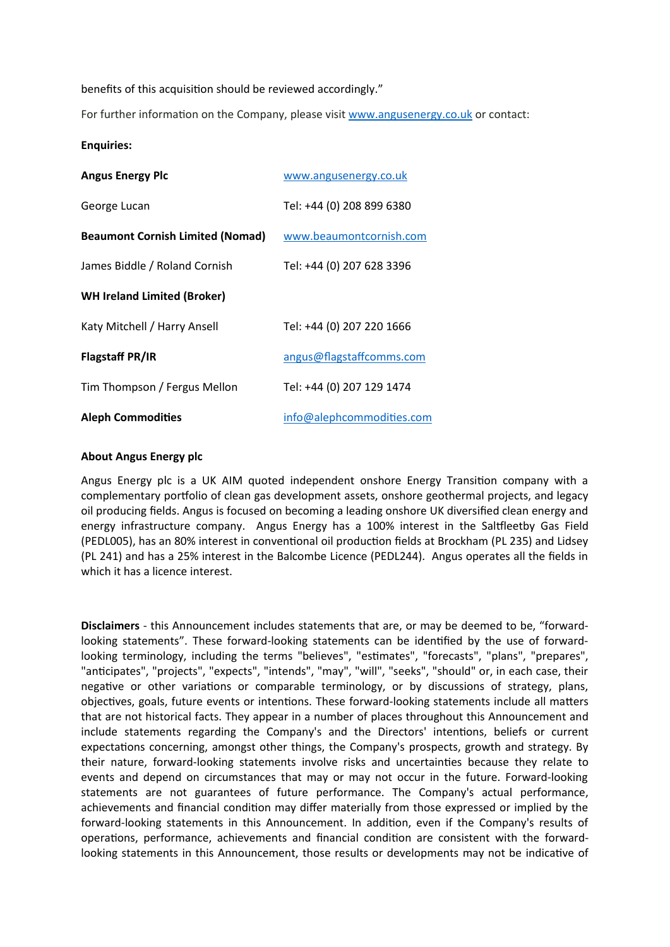benefits of this acquisition should be reviewed accordingly."

For further information on the Company, please visit www.angusenergy.co.uk or contact:

#### **Enquiries:**

| <b>Angus Energy Plc</b>                 | www.angusenergy.co.uk     |
|-----------------------------------------|---------------------------|
| George Lucan                            | Tel: +44 (0) 208 899 6380 |
| <b>Beaumont Cornish Limited (Nomad)</b> | www.beaumontcornish.com   |
| James Biddle / Roland Cornish           | Tel: +44 (0) 207 628 3396 |
| <b>WH Ireland Limited (Broker)</b>      |                           |
| Katy Mitchell / Harry Ansell            | Tel: +44 (0) 207 220 1666 |
| <b>Flagstaff PR/IR</b>                  | angus@flagstaffcomms.com  |
| Tim Thompson / Fergus Mellon            | Tel: +44 (0) 207 129 1474 |
| <b>Aleph Commodities</b>                | info@alephcommodities.com |

#### **About Angus Energy plc**

Angus Energy plc is a UK AIM quoted independent onshore Energy Transition company with a complementary portfolio of clean gas development assets, onshore geothermal projects, and legacy oil producing fields. Angus is focused on becoming a leading onshore UK diversified clean energy and energy infrastructure company. Angus Energy has a 100% interest in the Saltfleetby Gas Field (PEDL005), has an 80% interest in conventional oil production fields at Brockham (PL 235) and Lidsey (PL 241) and has a 25% interest in the Balcombe Licence (PEDL244). Angus operates all the fields in which it has a licence interest.

**Disclaimers** - this Announcement includes statements that are, or may be deemed to be, "forwardlooking statements". These forward-looking statements can be identified by the use of forwardlooking terminology, including the terms "believes", "estimates", "forecasts", "plans", "prepares", "anticipates", "projects", "expects", "intends", "may", "will", "seeks", "should" or, in each case, their negative or other variations or comparable terminology, or by discussions of strategy, plans, objectives, goals, future events or intentions. These forward-looking statements include all matters that are not historical facts. They appear in a number of places throughout this Announcement and include statements regarding the Company's and the Directors' intentions, beliefs or current expectations concerning, amongst other things, the Company's prospects, growth and strategy. By their nature, forward-looking statements involve risks and uncertainties because they relate to events and depend on circumstances that may or may not occur in the future. Forward-looking statements are not guarantees of future performance. The Company's actual performance, achievements and financial condition may differ materially from those expressed or implied by the forward-looking statements in this Announcement. In addition, even if the Company's results of operations, performance, achievements and financial condition are consistent with the forwardlooking statements in this Announcement, those results or developments may not be indicative of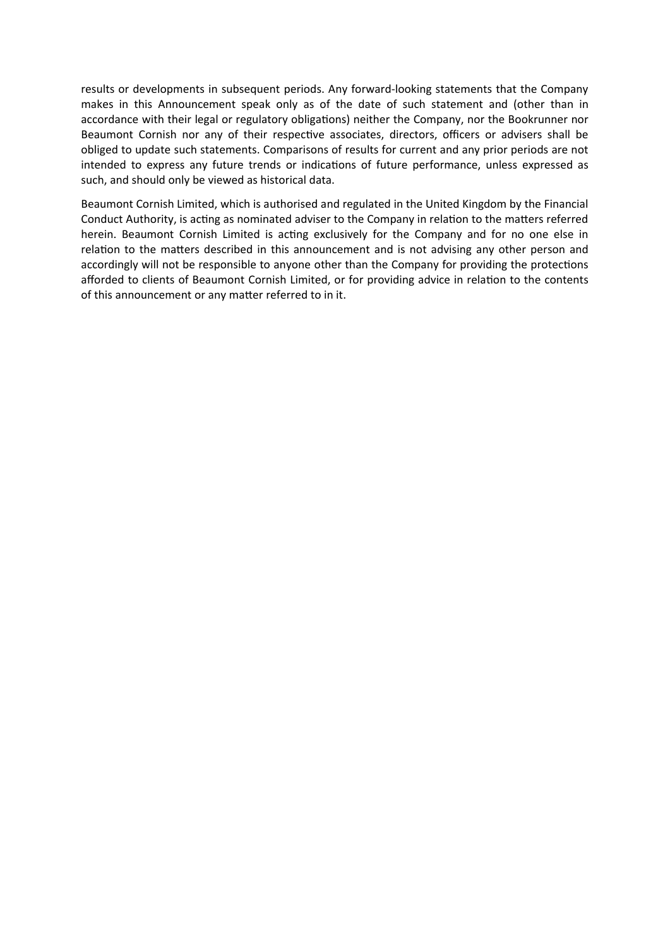results or developments in subsequent periods. Any forward-looking statements that the Company makes in this Announcement speak only as of the date of such statement and (other than in accordance with their legal or regulatory obligations) neither the Company, nor the Bookrunner nor Beaumont Cornish nor any of their respective associates, directors, officers or advisers shall be obliged to update such statements. Comparisons of results for current and any prior periods are not intended to express any future trends or indications of future performance, unless expressed as such, and should only be viewed as historical data.

Beaumont Cornish Limited, which is authorised and regulated in the United Kingdom by the Financial Conduct Authority, is acting as nominated adviser to the Company in relation to the matters referred herein. Beaumont Cornish Limited is acting exclusively for the Company and for no one else in relation to the matters described in this announcement and is not advising any other person and accordingly will not be responsible to anyone other than the Company for providing the protections afforded to clients of Beaumont Cornish Limited, or for providing advice in relation to the contents of this announcement or any matter referred to in it.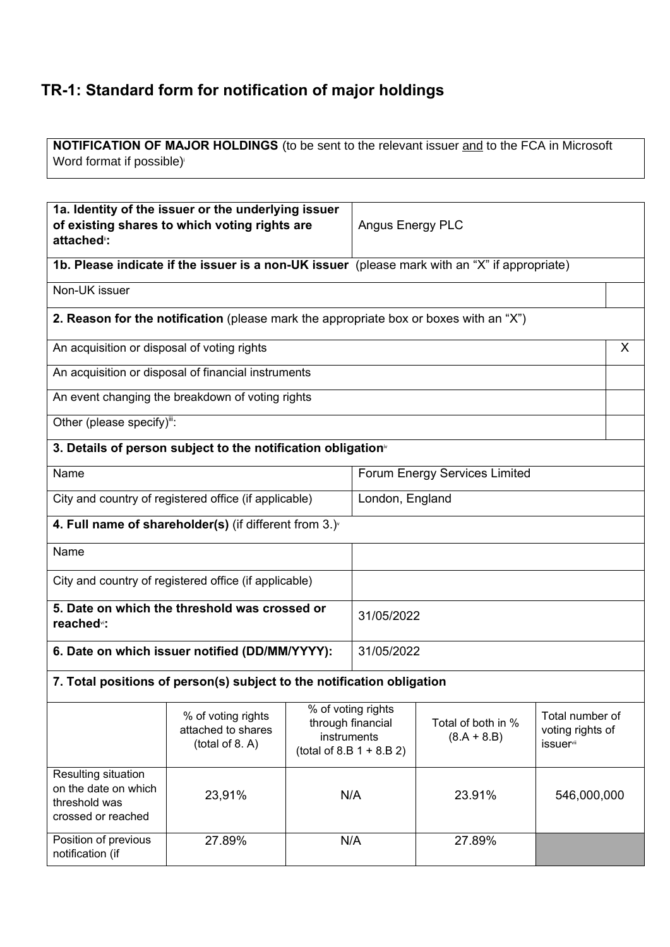# **TR-1: Standard form for notification of major holdings**

**NOTIFICATION OF MAJOR HOLDINGS** (to be sent to the relevant issuer and to the FCA in Microsoft Word format if possible)<sup>i</sup>

| attached <sup>®</sup> :                                                            | 1a. Identity of the issuer or the underlying issuer<br>of existing shares to which voting rights are |                                                                                      | Angus Energy PLC |                                     |                                                              |   |
|------------------------------------------------------------------------------------|------------------------------------------------------------------------------------------------------|--------------------------------------------------------------------------------------|------------------|-------------------------------------|--------------------------------------------------------------|---|
|                                                                                    | 1b. Please indicate if the issuer is a non-UK issuer (please mark with an "X" if appropriate)        |                                                                                      |                  |                                     |                                                              |   |
| Non-UK issuer                                                                      |                                                                                                      |                                                                                      |                  |                                     |                                                              |   |
|                                                                                    | 2. Reason for the notification (please mark the appropriate box or boxes with an "X")                |                                                                                      |                  |                                     |                                                              |   |
| An acquisition or disposal of voting rights                                        |                                                                                                      |                                                                                      |                  |                                     |                                                              | X |
|                                                                                    | An acquisition or disposal of financial instruments                                                  |                                                                                      |                  |                                     |                                                              |   |
|                                                                                    | An event changing the breakdown of voting rights                                                     |                                                                                      |                  |                                     |                                                              |   |
| Other (please specify)":                                                           |                                                                                                      |                                                                                      |                  |                                     |                                                              |   |
|                                                                                    | 3. Details of person subject to the notification obligation <sup>®</sup>                             |                                                                                      |                  |                                     |                                                              |   |
| Name                                                                               |                                                                                                      |                                                                                      |                  | Forum Energy Services Limited       |                                                              |   |
| London, England<br>City and country of registered office (if applicable)           |                                                                                                      |                                                                                      |                  |                                     |                                                              |   |
|                                                                                    | 4. Full name of shareholder(s) (if different from $3.$ ) $\check{ }$                                 |                                                                                      |                  |                                     |                                                              |   |
| Name                                                                               |                                                                                                      |                                                                                      |                  |                                     |                                                              |   |
|                                                                                    | City and country of registered office (if applicable)                                                |                                                                                      |                  |                                     |                                                              |   |
| reached <sup>v</sup> :                                                             | 5. Date on which the threshold was crossed or                                                        |                                                                                      | 31/05/2022       |                                     |                                                              |   |
|                                                                                    | 6. Date on which issuer notified (DD/MM/YYYY):                                                       |                                                                                      | 31/05/2022       |                                     |                                                              |   |
|                                                                                    | 7. Total positions of person(s) subject to the notification obligation                               |                                                                                      |                  |                                     |                                                              |   |
|                                                                                    | % of voting rights<br>attached to shares<br>(total of 8. A)                                          | % of voting rights<br>through financial<br>instruments<br>$(total of 8.B 1 + 8.B 2)$ |                  | Total of both in %<br>$(8.A + 8.B)$ | Total number of<br>voting rights of<br>issuer <sup>vii</sup> |   |
| Resulting situation<br>on the date on which<br>threshold was<br>crossed or reached | 23,91%                                                                                               | N/A                                                                                  |                  | 23.91%                              | 546,000,000                                                  |   |
| Position of previous<br>notification (if                                           | 27.89%                                                                                               |                                                                                      | N/A              | 27.89%                              |                                                              |   |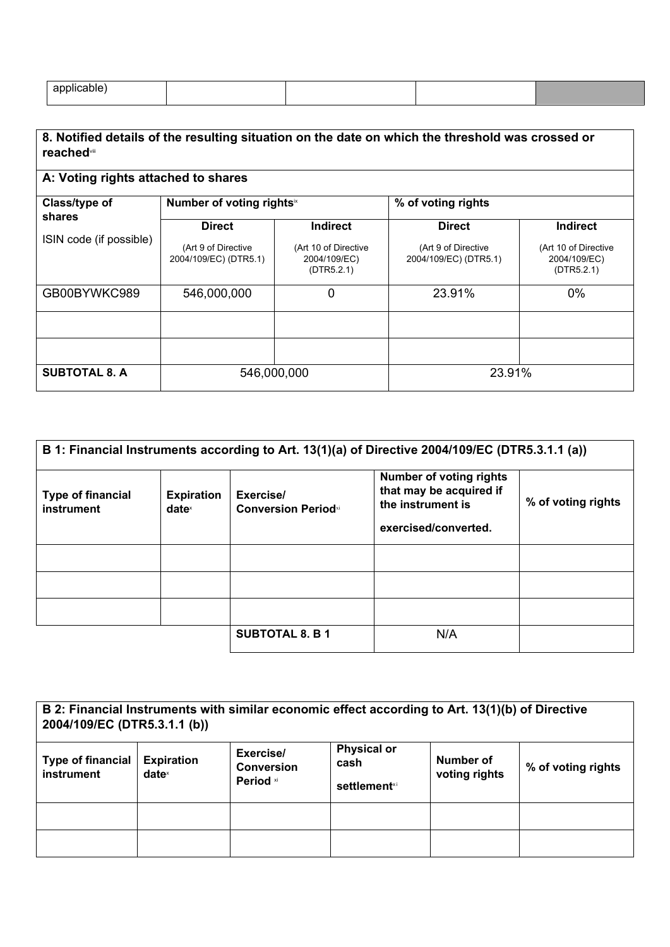| $\sim$<br>- |  |  |
|-------------|--|--|
|             |  |  |

| 8. Notified details of the resulting situation on the date on which the threshold was crossed or<br><b>reached</b> vill |                                              |                                                    |                                              |                                                    |  |
|-------------------------------------------------------------------------------------------------------------------------|----------------------------------------------|----------------------------------------------------|----------------------------------------------|----------------------------------------------------|--|
| A: Voting rights attached to shares                                                                                     |                                              |                                                    |                                              |                                                    |  |
| Class/type of                                                                                                           | Number of voting rights <sup>ix</sup>        |                                                    | % of voting rights                           |                                                    |  |
| shares                                                                                                                  | <b>Direct</b>                                | <b>Indirect</b>                                    | <b>Direct</b>                                | <b>Indirect</b>                                    |  |
| ISIN code (if possible)                                                                                                 | (Art 9 of Directive<br>2004/109/EC) (DTR5.1) | (Art 10 of Directive<br>2004/109/EC)<br>(DTR5.2.1) | (Art 9 of Directive<br>2004/109/EC) (DTR5.1) | (Art 10 of Directive<br>2004/109/EC)<br>(DTR5.2.1) |  |
| GB00BYWKC989                                                                                                            | 546,000,000                                  | 0                                                  | 23.91%                                       | $0\%$                                              |  |
|                                                                                                                         |                                              |                                                    |                                              |                                                    |  |
|                                                                                                                         |                                              |                                                    |                                              |                                                    |  |
| <b>SUBTOTAL 8. A</b>                                                                                                    | 546,000,000                                  |                                                    | 23.91%                                       |                                                    |  |

| B 1: Financial Instruments according to Art. 13(1)(a) of Directive 2004/109/EC (DTR5.3.1.1 (a)) |                                        |                                         |                                                                                                        |                    |
|-------------------------------------------------------------------------------------------------|----------------------------------------|-----------------------------------------|--------------------------------------------------------------------------------------------------------|--------------------|
| <b>Type of financial</b><br>instrument                                                          | <b>Expiration</b><br>date <sup>x</sup> | Exercise/<br><b>Conversion Periodxi</b> | <b>Number of voting rights</b><br>that may be acquired if<br>the instrument is<br>exercised/converted. | % of voting rights |
|                                                                                                 |                                        |                                         |                                                                                                        |                    |
|                                                                                                 |                                        |                                         |                                                                                                        |                    |
|                                                                                                 |                                        |                                         |                                                                                                        |                    |
|                                                                                                 |                                        | <b>SUBTOTAL 8. B 1</b>                  | N/A                                                                                                    |                    |

| B 2: Financial Instruments with similar economic effect according to Art. 13(1)(b) of Directive<br>2004/109/EC (DTR5.3.1.1 (b)) |                               |                                             |                                            |                            |                    |
|---------------------------------------------------------------------------------------------------------------------------------|-------------------------------|---------------------------------------------|--------------------------------------------|----------------------------|--------------------|
| <b>Type of financial</b><br>instrument                                                                                          | <b>Expiration</b><br>$date^*$ | Exercise/<br><b>Conversion</b><br>Period xi | <b>Physical or</b><br>cash<br>settlement×i | Number of<br>voting rights | % of voting rights |
|                                                                                                                                 |                               |                                             |                                            |                            |                    |
|                                                                                                                                 |                               |                                             |                                            |                            |                    |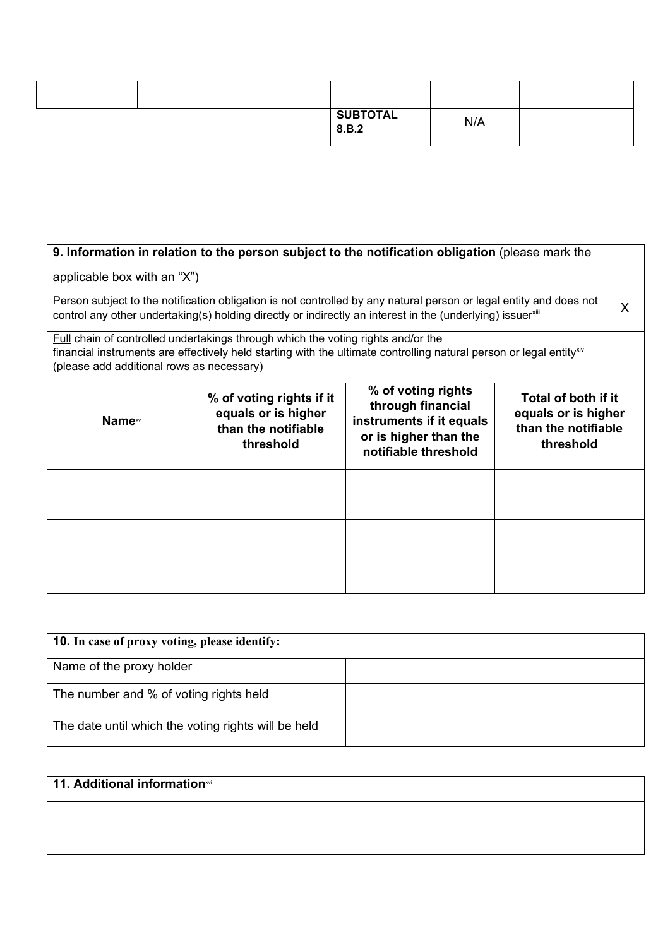|  | <b>SUBTOTAL</b><br>8.B.2 | N/A |  |
|--|--------------------------|-----|--|

## **9. Information in relation to the person subject to the notification obligation (please mark the**

## applicable box with an "X")

Person subject to the notification obligation is not controlled by any natural person or legal entity and does not Person subject to the notification obligation is not controlled by any natural person or legal entity and does not  $\chi$  control any other undertaking(s) holding directly or indirectly an interest in the (underlying) issue

Full chain of controlled undertakings through which the voting rights and/or the financial instruments are effectively held starting with the ultimate controlling natural person or legal entity<sup>xiv</sup> (please add additional rows as necessary)

| Name <sup>xv</sup> | % of voting rights if it<br>equals or is higher<br>than the notifiable<br>threshold | % of voting rights<br>through financial<br>instruments if it equals<br>or is higher than the<br>notifiable threshold | Total of both if it<br>equals or is higher<br>than the notifiable<br>threshold |
|--------------------|-------------------------------------------------------------------------------------|----------------------------------------------------------------------------------------------------------------------|--------------------------------------------------------------------------------|
|                    |                                                                                     |                                                                                                                      |                                                                                |
|                    |                                                                                     |                                                                                                                      |                                                                                |
|                    |                                                                                     |                                                                                                                      |                                                                                |
|                    |                                                                                     |                                                                                                                      |                                                                                |
|                    |                                                                                     |                                                                                                                      |                                                                                |

| <b>10.</b> In case of proxy voting, please identify: |  |
|------------------------------------------------------|--|
| Name of the proxy holder                             |  |
| The number and % of voting rights held               |  |
| The date until which the voting rights will be held  |  |

# **11. Additional information**<sup>xvi</sup>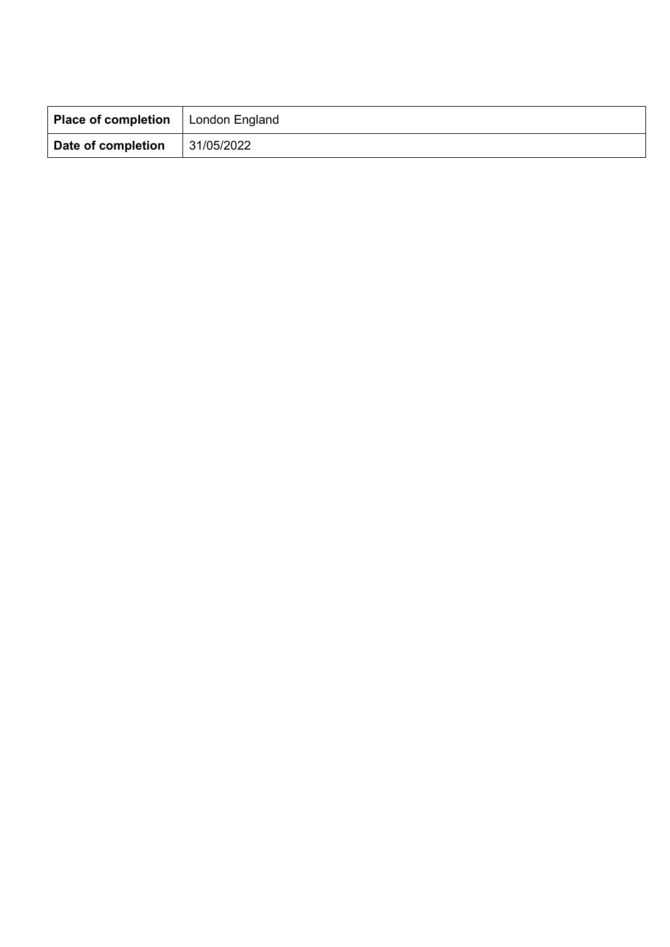| Place of completion | London England |
|---------------------|----------------|
| Date of completion  | 31/05/2022     |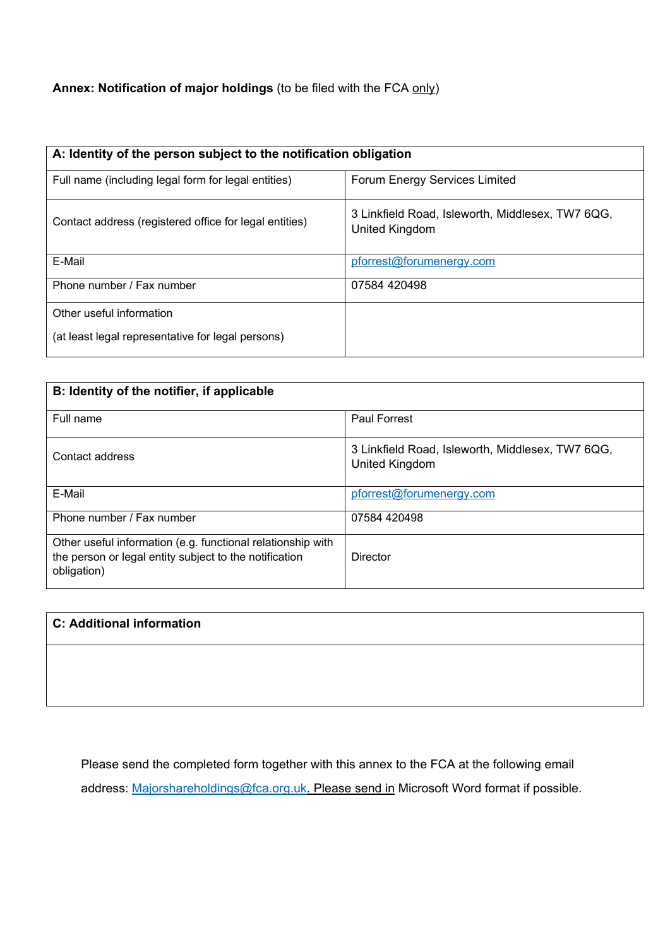# **Annex: Notification of major holdings** (to be filed with the FCA only)

| A: Identity of the person subject to the notification obligation |                                                                    |  |  |
|------------------------------------------------------------------|--------------------------------------------------------------------|--|--|
| Full name (including legal form for legal entities)              | Forum Energy Services Limited                                      |  |  |
| Contact address (registered office for legal entities)           | 3 Linkfield Road, Isleworth, Middlesex, TW7 6QG,<br>United Kingdom |  |  |
| E-Mail                                                           | pforrest@forumenergy.com                                           |  |  |
| Phone number / Fax number                                        | 07584 420498                                                       |  |  |
| Other useful information                                         |                                                                    |  |  |
| (at least legal representative for legal persons)                |                                                                    |  |  |

| B: Identity of the notifier, if applicable                                                                                           |                                                                    |  |  |
|--------------------------------------------------------------------------------------------------------------------------------------|--------------------------------------------------------------------|--|--|
| Full name                                                                                                                            | Paul Forrest                                                       |  |  |
| Contact address                                                                                                                      | 3 Linkfield Road, Isleworth, Middlesex, TW7 6QG,<br>United Kingdom |  |  |
| E-Mail                                                                                                                               | pforrest@forumenergy.com                                           |  |  |
| Phone number / Fax number                                                                                                            | 07584 420498                                                       |  |  |
| Other useful information (e.g. functional relationship with<br>the person or legal entity subject to the notification<br>obligation) | Director                                                           |  |  |

| <b>C: Additional information</b> |  |  |
|----------------------------------|--|--|
|                                  |  |  |
|                                  |  |  |

Please send the completed form together with this annex to the FCA at the following email

address: Majorshareholdings@fca.org.uk. Please send in Microsoft Word format if possible.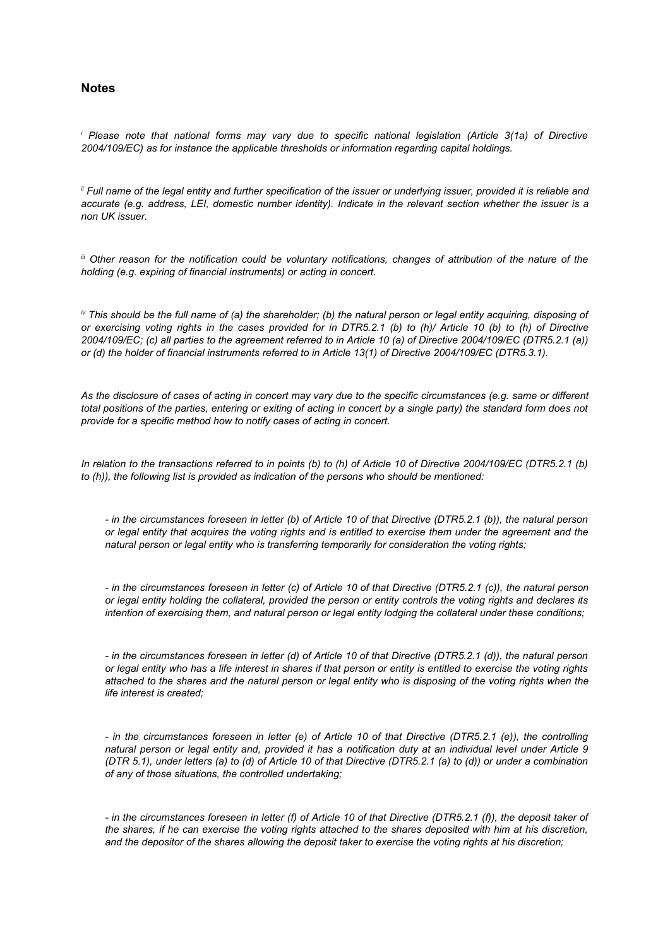#### **Notes**

*i Please note that national forms may vary due to specific national legislation (Article 3(1a) of Directive 2004/109/EC) as for instance the applicable thresholds or information regarding capital holdings.*

*ii Full name of the legal entity and further specification of the issuer or underlying issuer, provided it is reliable and accurate (e.g. address, LEI, domestic number identity). Indicate in the relevant section whether the issuer is a non UK issuer.*

*iii Other reason for the notification could be voluntary notifications, changes of attribution of the nature of the holding (e.g. expiring of financial instruments) or acting in concert.*

*iv This should be the full name of (a) the shareholder; (b) the natural person or legal entity acquiring, disposing of or exercising voting rights in the cases provided for in DTR5.2.1 (b) to (h)/ Article 10 (b) to (h) of Directive 2004/109/EC; (c) all parties to the agreement referred to in Article 10 (a) of Directive 2004/109/EC (DTR5.2.1 (a)) or (d) the holder of financial instruments referred to in Article 13(1) of Directive 2004/109/EC (DTR5.3.1).*

*As the disclosure of cases of acting in concert may vary due to the specific circumstances (e.g. same or different total positions of the parties, entering or exiting of acting in concert by a single party) the standard form does not provide for a specific method how to notify cases of acting in concert.*

*In relation to the transactions referred to in points (b) to (h) of Article 10 of Directive 2004/109/EC (DTR5.2.1 (b) to (h)), the following list is provided as indication of the persons who should be mentioned:*

*- in the circumstances foreseen in letter (b) of Article 10 of that Directive (DTR5.2.1 (b)), the natural person or legal entity that acquires the voting rights and is entitled to exercise them under the agreement and the natural person or legal entity who is transferring temporarily for consideration the voting rights;*

*- in the circumstances foreseen in letter (c) of Article 10 of that Directive (DTR5.2.1 (c)), the natural person or legal entity holding the collateral, provided the person or entity controls the voting rights and declares its intention of exercising them, and natural person or legal entity lodging the collateral under these conditions;*

*- in the circumstances foreseen in letter (d) of Article 10 of that Directive (DTR5.2.1 (d)), the natural person or legal entity who has a life interest in shares if that person or entity is entitled to exercise the voting rights attached to the shares and the natural person or legal entity who is disposing of the voting rights when the life interest is created;*

*- in the circumstances foreseen in letter (e) of Article 10 of that Directive (DTR5.2.1 (e)), the controlling natural person or legal entity and, provided it has a notification duty at an individual level under Article 9 (DTR 5.1), under letters (a) to (d) of Article 10 of that Directive (DTR5.2.1 (a) to (d)) or under a combination of any of those situations, the controlled undertaking;*

*- in the circumstances foreseen in letter (f) of Article 10 of that Directive (DTR5.2.1 (f)), the deposit taker of the shares, if he can exercise the voting rights attached to the shares deposited with him at his discretion, and the depositor of the shares allowing the deposit taker to exercise the voting rights at his discretion;*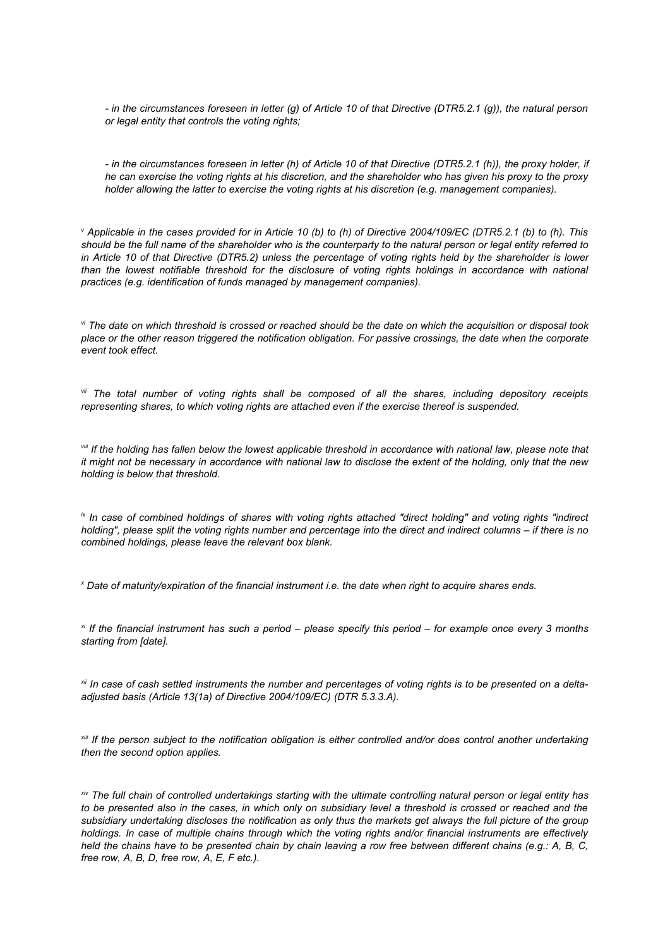*- in the circumstances foreseen in letter (g) of Article 10 of that Directive (DTR5.2.1 (g)), the natural person or legal entity that controls the voting rights;*

*- in the circumstances foreseen in letter (h) of Article 10 of that Directive (DTR5.2.1 (h)), the proxy holder, if he can exercise the voting rights at his discretion, and the shareholder who has given his proxy to the proxy holder allowing the latter to exercise the voting rights at his discretion (e.g. management companies).*

*v Applicable in the cases provided for in Article 10 (b) to (h) of Directive 2004/109/EC (DTR5.2.1 (b) to (h). This should be the full name of the shareholder who is the counterparty to the natural person or legal entity referred to in Article 10 of that Directive (DTR5.2) unless the percentage of voting rights held by the shareholder is lower than the lowest notifiable threshold for the disclosure of voting rights holdings in accordance with national practices (e.g. identification of funds managed by management companies).*

*vi The date on which threshold is crossed or reached should be the date on which the acquisition or disposal took place or the other reason triggered the notification obligation. For passive crossings, the date when the corporate event took effect.*

*vii The total number of voting rights shall be composed of all the shares, including depository receipts representing shares, to which voting rights are attached even if the exercise thereof is suspended.*

*viii If the holding has fallen below the lowest applicable threshold in accordance with national law, please note that it might not be necessary in accordance with national law to disclose the extent of the holding, only that the new holding is below that threshold.*

*ix In case of combined holdings of shares with voting rights attached "direct holding" and voting rights "indirect holding", please split the voting rights number and percentage into the direct and indirect columns – if there is no combined holdings, please leave the relevant box blank.*

*x Date of maturity/expiration of the financial instrument i.e. the date when right to acquire shares ends.*

*xi If the financial instrument has such a period – please specify this period – for example once every 3 months starting from [date].* 

*xii In case of cash settled instruments the number and percentages of voting rights is to be presented on a deltaadjusted basis (Article 13(1a) of Directive 2004/109/EC) (DTR 5.3.3.A).*

*xiii If the person subject to the notification obligation is either controlled and/or does control another undertaking then the second option applies.*

*xiv The full chain of controlled undertakings starting with the ultimate controlling natural person or legal entity has to be presented also in the cases, in which only on subsidiary level a threshold is crossed or reached and the subsidiary undertaking discloses the notification as only thus the markets get always the full picture of the group holdings. In case of multiple chains through which the voting rights and/or financial instruments are effectively held the chains have to be presented chain by chain leaving a row free between different chains (e.g.: A, B, C, free row, A, B, D, free row, A, E, F etc.).*